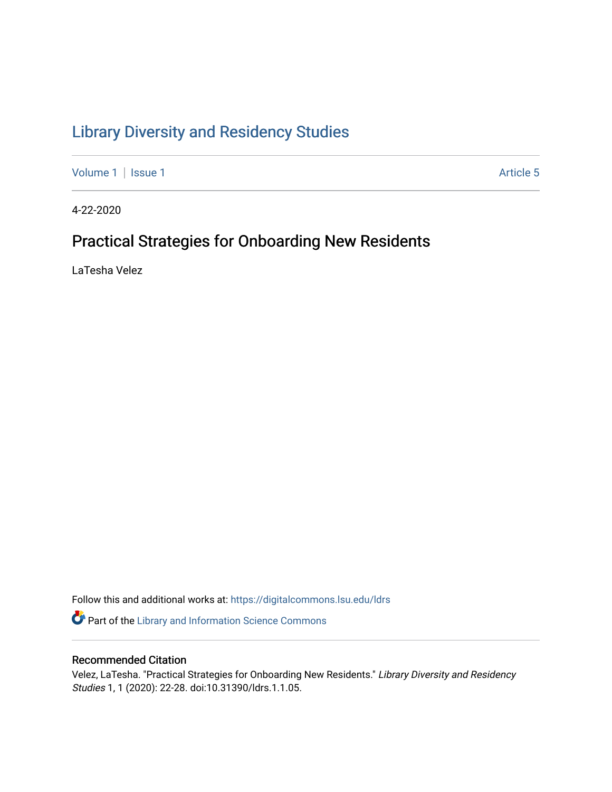# [Library Diversity and Residency Studies](https://digitalcommons.lsu.edu/ldrs)

[Volume 1](https://digitalcommons.lsu.edu/ldrs/vol1) | [Issue 1](https://digitalcommons.lsu.edu/ldrs/vol1/iss1) Article 5

4-22-2020

# Practical Strategies for Onboarding New Residents

LaTesha Velez

Follow this and additional works at: [https://digitalcommons.lsu.edu/ldrs](https://digitalcommons.lsu.edu/ldrs?utm_source=digitalcommons.lsu.edu%2Fldrs%2Fvol1%2Fiss1%2F5&utm_medium=PDF&utm_campaign=PDFCoverPages) 

**P** Part of the Library and Information Science Commons

## Recommended Citation

Velez, LaTesha. "Practical Strategies for Onboarding New Residents." Library Diversity and Residency Studies 1, 1 (2020): 22-28. doi:10.31390/ldrs.1.1.05.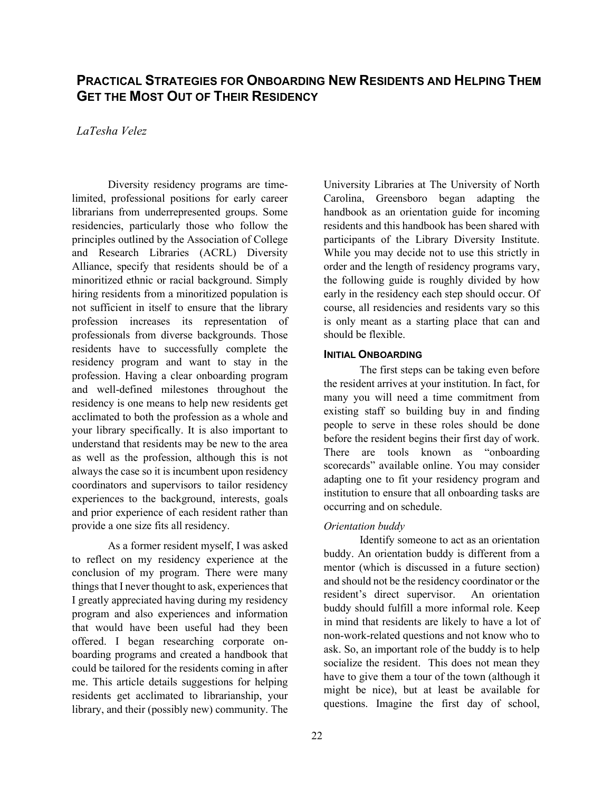# **PRACTICAL STRATEGIES FOR ONBOARDING NEW RESIDENTS AND HELPING THEM GET THE MOST OUT OF THEIR RESIDENCY**

### *LaTesha Velez*

 Alliance, specify that residents should be of a hiring residents from a minoritized population is not sufficient in itself to ensure that the library your library specifically. It is also important to always the case so it is incumbent upon residency and prior experience of each resident rather than Diversity residency programs are timelimited, professional positions for early career librarians from underrepresented groups. Some residencies, particularly those who follow the principles outlined by the Association of College and Research Libraries (ACRL) Diversity minoritized ethnic or racial background. Simply profession increases its representation of professionals from diverse backgrounds. Those residents have to successfully complete the residency program and want to stay in the profession. Having a clear onboarding program and well-defined milestones throughout the residency is one means to help new residents get acclimated to both the profession as a whole and understand that residents may be new to the area as well as the profession, although this is not coordinators and supervisors to tailor residency experiences to the background, interests, goals provide a one size fits all residency.

 residents get acclimated to librarianship, your As a former resident myself, I was asked to reflect on my residency experience at the conclusion of my program. There were many things that I never thought to ask, experiences that I greatly appreciated having during my residency program and also experiences and information that would have been useful had they been offered. I began researching corporate onboarding programs and created a handbook that could be tailored for the residents coming in after me. This article details suggestions for helping library, and their (possibly new) community. The

 participants of the Library Diversity Institute. early in the residency each step should occur. Of University Libraries at The University of North Carolina, Greensboro began adapting the handbook as an orientation guide for incoming residents and this handbook has been shared with While you may decide not to use this strictly in order and the length of residency programs vary, the following guide is roughly divided by how course, all residencies and residents vary so this is only meant as a starting place that can and should be flexible.

#### **INITIAL ONBOARDING**

 the resident arrives at your institution. In fact, for people to serve in these roles should be done adapting one to fit your residency program and The first steps can be taking even before many you will need a time commitment from existing staff so building buy in and finding before the resident begins their first day of work. There are tools known as "onboarding scorecards" available online. You may consider institution to ensure that all onboarding tasks are occurring and on schedule.

#### *Orientation buddy*

 buddy. An orientation buddy is different from a and should not be the residency coordinator or the buddy should fulfill a more informal role. Keep in mind that residents are likely to have a lot of Identify someone to act as an orientation mentor (which is discussed in a future section) resident's direct supervisor. An orientation non-work-related questions and not know who to ask. So, an important role of the buddy is to help socialize the resident. This does not mean they have to give them a tour of the town (although it might be nice), but at least be available for questions. Imagine the first day of school,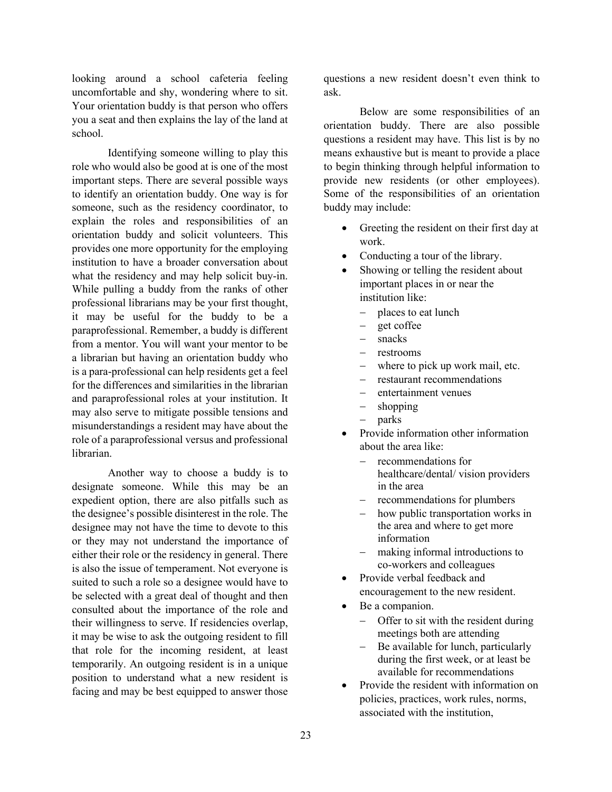looking around a school cafeteria feeling uncomfortable and shy, wondering where to sit. you a seat and then explains the lay of the land at Your orientation buddy is that person who offers school.

 role who would also be good at is one of the most important steps. There are several possible ways explain the roles and responsibilities of an orientation buddy and solicit volunteers. This provides one more opportunity for the employing what the residency and may help solicit buy-in. While pulling a buddy from the ranks of other professional librarians may be your first thought, from a mentor. You will want your mentor to be Identifying someone willing to play this to identify an orientation buddy. One way is for someone, such as the residency coordinator, to institution to have a broader conversation about it may be useful for the buddy to be a paraprofessional. Remember, a buddy is different a librarian but having an orientation buddy who is a para-professional can help residents get a feel for the differences and similarities in the librarian and paraprofessional roles at your institution. It may also serve to mitigate possible tensions and misunderstandings a resident may have about the role of a paraprofessional versus and professional librarian.

 Another way to choose a buddy is to either their role or the residency in general. There be selected with a great deal of thought and then consulted about the importance of the role and their willingness to serve. If residencies overlap, it may be wise to ask the outgoing resident to fill position to understand what a new resident is designate someone. While this may be an expedient option, there are also pitfalls such as the designee's possible disinterest in the role. The designee may not have the time to devote to this or they may not understand the importance of is also the issue of temperament. Not everyone is suited to such a role so a designee would have to that role for the incoming resident, at least temporarily. An outgoing resident is in a unique facing and may be best equipped to answer those

 questions a new resident doesn't even think to ask.

 orientation buddy. There are also possible to begin thinking through helpful information to Below are some responsibilities of an questions a resident may have. This list is by no means exhaustive but is meant to provide a place provide new residents (or other employees). Some of the responsibilities of an orientation buddy may include:

- • Greeting the resident on their first day at work.
- Conducting a tour of the library.
- important places in or near the Showing or telling the resident about institution like:
	- places to eat lunch
	- − get coffee
	- − snacks
	- − restrooms
	- where to pick up work mail, etc.
	- − restaurant recommendations
	- − entertainment venues
	- shopping
	- − parks
- Provide information other information about the area like:
	- in the area − recommendations for healthcare/dental/ vision providers
	- − recommendations for plumbers
	- information how public transportation works in the area and where to get more
	- − making informal introductions to co-workers and colleagues
- Provide verbal feedback and encouragement to the new resident.
- Be a companion.
	- − Offer to sit with the resident during meetings both are attending
	- − Be available for lunch, particularly during the first week, or at least be available for recommendations
- Provide the resident with information on policies, practices, work rules, norms, associated with the institution,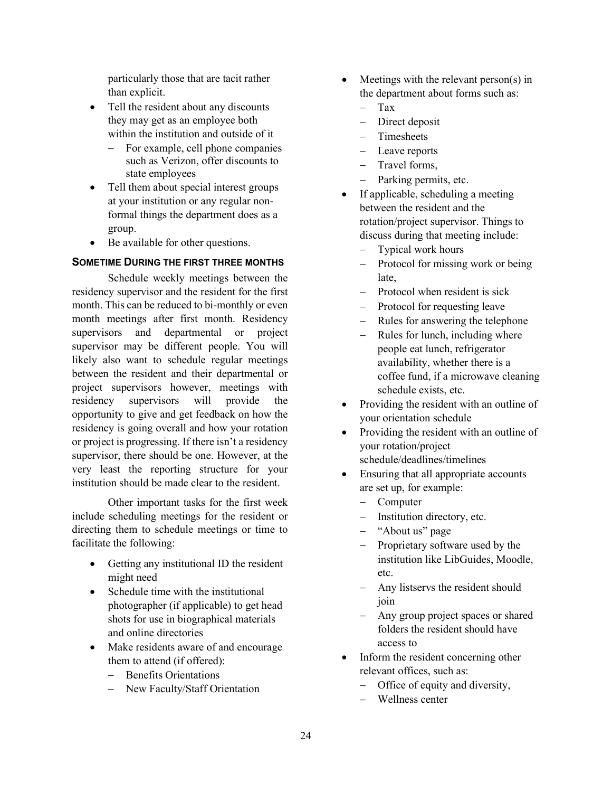particularly those that are tacit rather than explicit.

- Tell the resident about any discounts they may get as an employee both within the institution and outside of it
	- For example, cell phone companies such as Verizon, offer discounts to state employees
- • Tell them about special interest groups at your institution or any regular nonformal things the department does as a group.
- Be available for other questions.

### **SOMETIME DURING THE FIRST THREE MONTHS**

 residency supervisor and the resident for the first likely also want to schedule regular meetings opportunity to give and get feedback on how the or project is progressing. If there isn't a residency supervisor, there should be one. However, at the very least the reporting structure for your Schedule weekly meetings between the month. This can be reduced to bi-monthly or even month meetings after first month. Residency supervisors and departmental or project supervisor may be different people. You will between the resident and their departmental or project supervisors however, meetings with residency supervisors will provide the residency is going overall and how your rotation institution should be made clear to the resident.

 include scheduling meetings for the resident or directing them to schedule meetings or time to Other important tasks for the first week facilitate the following:

- • Getting any institutional ID the resident might need
- Schedule time with the institutional photographer (if applicable) to get head shots for use in biographical materials and online directories
- Make residents aware of and encourage them to attend (if offered):
	- − Benefits Orientations
	- − New Faculty/Staff Orientation
- Meetings with the relevant person(s) in the department about forms such as:
	- − Tax
	- − Direct deposit
	- Timesheets
	- − Leave reports
	- − Travel forms,
	- Parking permits, etc.
- • If applicable, scheduling a meeting between the resident and the rotation/project supervisor. Things to discuss during that meeting include:
	- Typical work hours
	- Protocol for missing work or being late,
	- − Protocol when resident is sick
	- − Protocol for requesting leave
	- − Rules for answering the telephone
	- schedule exists, etc. Rules for lunch, including where people eat lunch, refrigerator availability, whether there is a coffee fund, if a microwave cleaning
- Providing the resident with an outline of your orientation schedule
- Providing the resident with an outline of your rotation/project schedule/deadlines/timelines
- Ensuring that all appropriate accounts are set up, for example:
	- − Computer
	- Institution directory, etc.
	- − "About us" page
	- − Proprietary software used by the institution like LibGuides, Moodle, etc.
	- − Any listservs the resident should join
	- folders the resident should have − Any group project spaces or shared access to
- • Inform the resident concerning other relevant offices, such as:
	- − Office of equity and diversity,
	- − Wellness center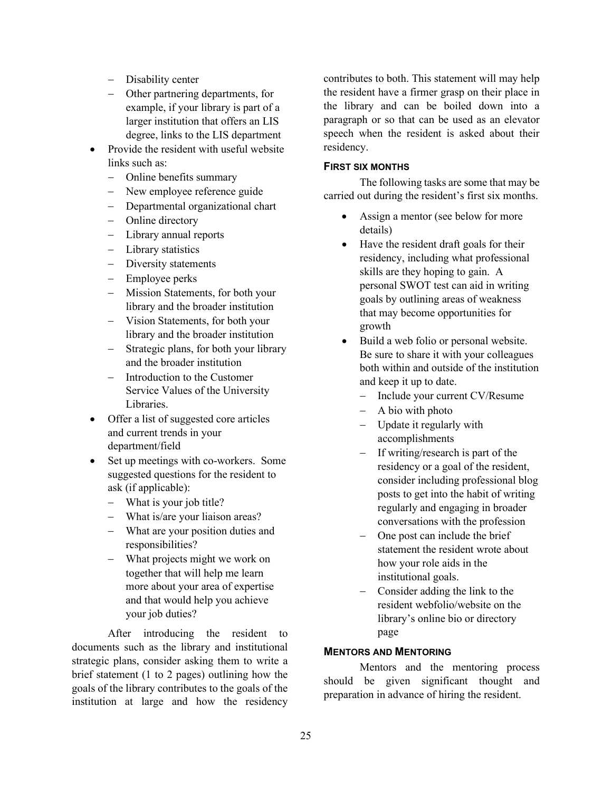- − Disability center
- example, if your library is part of a − Other partnering departments, for larger institution that offers an LIS degree, links to the LIS department
- Provide the resident with useful website links such as:
	- − Online benefits summary
	- − New employee reference guide
	- − Departmental organizational chart
	- − Online directory
	- − Library annual reports
	- − Library statistics
	- − Diversity statements
	- − Employee perks
	- − Mission Statements, for both your library and the broader institution
	- − Vision Statements, for both your library and the broader institution
	- − Strategic plans, for both your library and the broader institution
	- − Introduction to the Customer Service Values of the University Libraries.
- Offer a list of suggested core articles and current trends in your department/field
- Set up meetings with co-workers. Some suggested questions for the resident to ask (if applicable):
	- − What is your job title?
	- − What is/are your liaison areas?
	- − What are your position duties and responsibilities?
	- together that will help me learn more about your area of expertise − What projects might we work on and that would help you achieve your job duties?

 After introducing the resident to strategic plans, consider asking them to write a goals of the library contributes to the goals of the institution at large and how the residency documents such as the library and institutional brief statement (1 to 2 pages) outlining how the

 the resident have a firmer grasp on their place in contributes to both. This statement will may help the library and can be boiled down into a paragraph or so that can be used as an elevator speech when the resident is asked about their residency.

### **FIRST SIX MONTHS**

 The following tasks are some that may be carried out during the resident's first six months.

- Assign a mentor (see below for more details)
- goals by outlining areas of weakness • Have the resident draft goals for their residency, including what professional skills are they hoping to gain. A personal SWOT test can aid in writing that may become opportunities for growth
- and keep it up to date. • Build a web folio or personal website. Be sure to share it with your colleagues both within and outside of the institution
	- − Include your current CV/Resume
	- − A bio with photo
	- − Update it regularly with accomplishments
	- − If writing/research is part of the residency or a goal of the resident, consider including professional blog posts to get into the habit of writing regularly and engaging in broader conversations with the profession
	- how your role aids in the One post can include the brief statement the resident wrote about institutional goals.
	- Consider adding the link to the resident webfolio/website on the library's online bio or directory page

### **MENTORS AND MENTORING**

Mentors and the mentoring process should be given significant thought and preparation in advance of hiring the resident.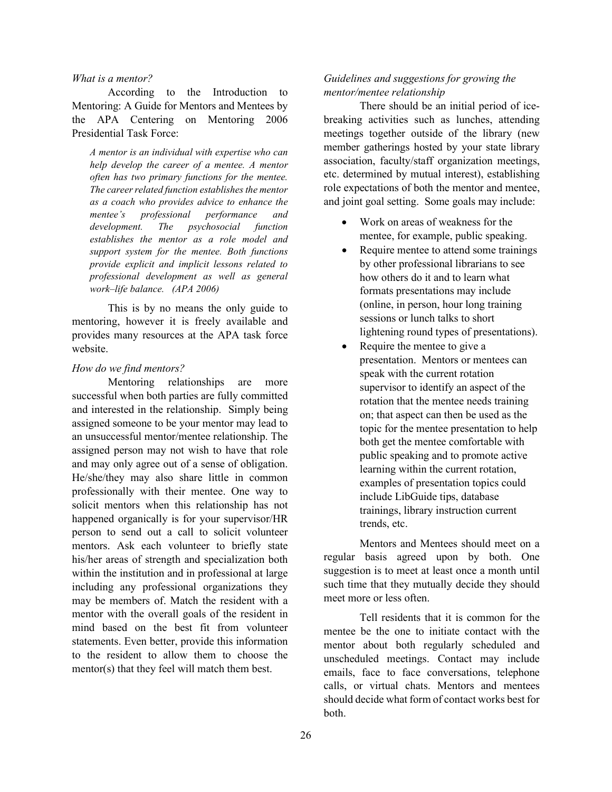#### *What is a mentor?*

 the APA Centering on Mentoring 2006 Presidential Task Force: According to the Introduction to Mentoring: A Guide for Mentors and Mentees by

 *often has two primary functions for the mentee. as a coach who provides advice to enhance the establishes the mentor as a role model and provide explicit and implicit lessons related to work–life balance. (APA 2006) A mentor is an individual with expertise who can help develop the career of a mentee. A mentor The career related function establishes the mentor mentee's professional performance and development. The psychosocial function support system for the mentee. Both functions professional development as well as general* 

 This is by no means the only guide to mentoring, however it is freely available and provides many resources at the APA task force website.

#### *How do we find mentors?*

 assigned someone to be your mentor may lead to assigned person may not wish to have that role and may only agree out of a sense of obligation. He/she/they may also share little in common professionally with their mentee. One way to person to send out a call to solicit volunteer his/her areas of strength and specialization both including any professional organizations they mentor with the overall goals of the resident in mind based on the best fit from volunteer Mentoring relationships are more successful when both parties are fully committed and interested in the relationship. Simply being an unsuccessful mentor/mentee relationship. The solicit mentors when this relationship has not happened organically is for your supervisor/HR mentors. Ask each volunteer to briefly state within the institution and in professional at large may be members of. Match the resident with a statements. Even better, provide this information to the resident to allow them to choose the mentor(s) that they feel will match them best.

### *Guidelines and suggestions for growing the mentor/mentee relationship*

 There should be an initial period of ice- member gatherings hosted by your state library etc. determined by mutual interest), establishing role expectations of both the mentor and mentee, and joint goal setting. Some goals may include: breaking activities such as lunches, attending meetings together outside of the library (new association, faculty/staff organization meetings,

- • Work on areas of weakness for the mentee, for example, public speaking.
- • Require mentee to attend some trainings formats presentations may include by other professional librarians to see how others do it and to learn what (online, in person, hour long training sessions or lunch talks to short lightening round types of presentations).
- presentation. Mentors or mentees can topic for the mentee presentation to help Require the mentee to give a speak with the current rotation supervisor to identify an aspect of the rotation that the mentee needs training on; that aspect can then be used as the both get the mentee comfortable with public speaking and to promote active learning within the current rotation, examples of presentation topics could include LibGuide tips, database trainings, library instruction current trends, etc.

 suggestion is to meet at least once a month until such time that they mutually decide they should meet more or less often. Mentors and Mentees should meet on a regular basis agreed upon by both. One

 Tell residents that it is common for the mentee be the one to initiate contact with the unscheduled meetings. Contact may include emails, face to face conversations, telephone should decide what form of contact works best for mentor about both regularly scheduled and calls, or virtual chats. Mentors and mentees both.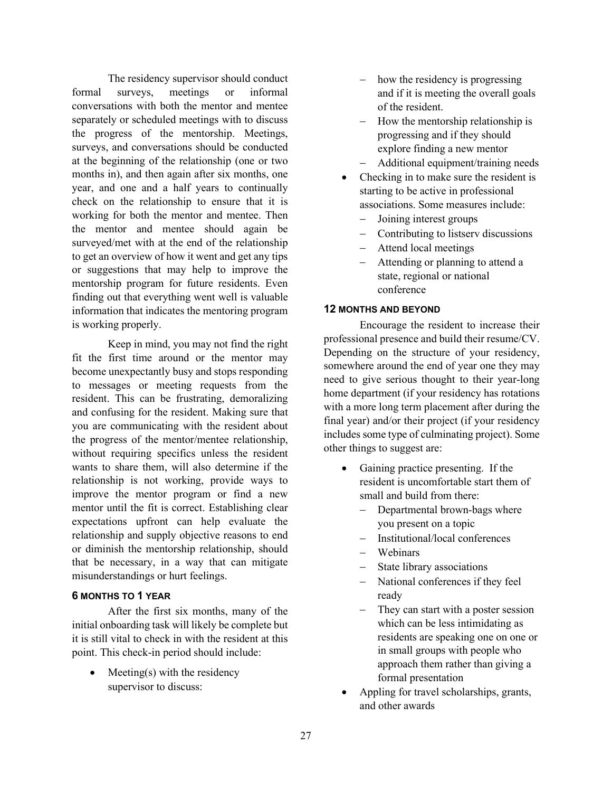The residency supervisor should conduct conversations with both the mentor and mentee separately or scheduled meetings with to discuss the progress of the mentorship. Meetings, surveys, and conversations should be conducted at the beginning of the relationship (one or two formal surveys, meetings or informal months in), and then again after six months, one year, and one and a half years to continually check on the relationship to ensure that it is working for both the mentor and mentee. Then the mentor and mentee should again be surveyed/met with at the end of the relationship to get an overview of how it went and get any tips or suggestions that may help to improve the mentorship program for future residents. Even finding out that everything went well is valuable information that indicates the mentoring program is working properly.

 fit the first time around or the mentor may become unexpectantly busy and stops responding wants to share them, will also determine if the improve the mentor program or find a new expectations upfront can help evaluate the Keep in mind, you may not find the right to messages or meeting requests from the resident. This can be frustrating, demoralizing and confusing for the resident. Making sure that you are communicating with the resident about the progress of the mentor/mentee relationship, without requiring specifics unless the resident relationship is not working, provide ways to mentor until the fit is correct. Establishing clear relationship and supply objective reasons to end or diminish the mentorship relationship, should that be necessary, in a way that can mitigate misunderstandings or hurt feelings.

### **6 MONTHS TO 1 YEAR**

 initial onboarding task will likely be complete but After the first six months, many of the it is still vital to check in with the resident at this point. This check-in period should include:

 $M$ eeting(s) with the residency supervisor to discuss:

- − how the residency is progressing and if it is meeting the overall goals of the resident.
- explore finding a new mentor − How the mentorship relationship is progressing and if they should
- − Additional equipment/training needs
- Checking in to make sure the resident is starting to be active in professional associations. Some measures include:
	- − Joining interest groups
	- − Contributing to listserv discussions
	- Attend local meetings
	- Attending or planning to attend a state, regional or national conference

### **12 MONTHS AND BEYOND**

 Depending on the structure of your residency, with a more long term placement after during the Encourage the resident to increase their professional presence and build their resume/CV. somewhere around the end of year one they may need to give serious thought to their year-long home department (if your residency has rotations final year) and/or their project (if your residency includes some type of culminating project). Some other things to suggest are:

- resident is uncomfortable start them of Gaining practice presenting. If the small and build from there:
	- − Departmental brown-bags where you present on a topic
	- − Institutional/local conferences
	- Webinars
	- State library associations
	- National conferences if they feel ready
	- which can be less intimidating as residents are speaking one on one or − They can start with a poster session in small groups with people who approach them rather than giving a formal presentation
- and other awards • Appling for travel scholarships, grants,